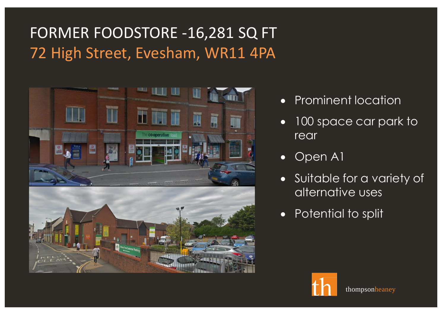# FORMER FOODSTORE -16,281 SQ FT 72 High Street, Evesham, WR11 4PA



- Prominent location
- 100 space car park to rear
- Open A1
- Suitable for a variety of alternative uses
- Potential to split

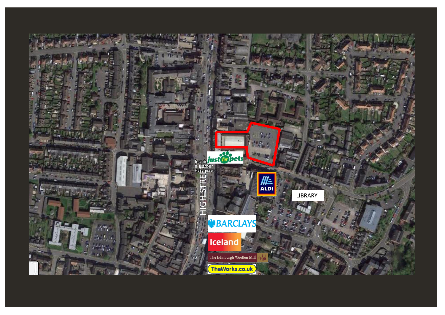